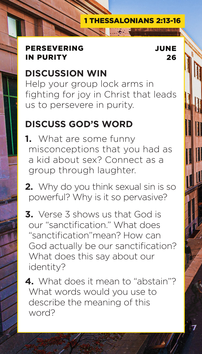#### PERSEVERING IN PURITY

JUNE

26

# **DISCUSSION WIN**

Help your group lock arms in fighting for joy in Christ that leads us to persevere in purity.

# **DISCUSS GOD'S WORD**

**1.** What are some funny misconceptions that you had as a kid about sex? Connect as a group through laughter.

**2.** Why do you think sexual sin is so powerful? Why is it so pervasive?

**3.** Verse 3 shows us that God is our "sanctification." What does "sanctification"mean? How can God actually be our sanctification? What does this say about our identity?

**4.** What does it mean to "abstain"? What words would you use to describe the meaning of this word?



#### 1 THESSALONIANS 2:13-16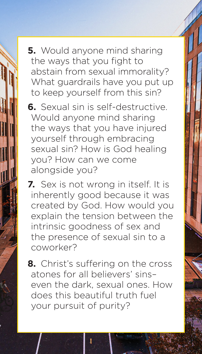**5.** Would anyone mind sharing the ways that you fight to abstain from sexual immorality? What guardrails have you put up to keep yourself from this sin?

**6.** Sexual sin is self-destructive. Would anyone mind sharing the ways that you have injured yourself through embracing sexual sin? How is God healing you? How can we come alongside you?

**7.** Sex is not wrong in itself. It is inherently good because it was created by God. How would you explain the tension between the intrinsic goodness of sex and the presence of sexual sin to a coworker?

**8.** Christ's suffering on the cross atones for all believers' sins– even the dark, sexual ones. How does this beautiful truth fuel your pursuit of purity?